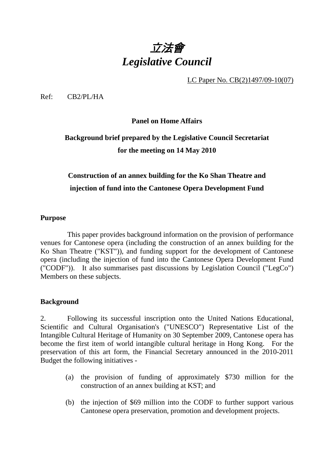# 立法會 *Legislative Council*

LC Paper No. CB(2)1497/09-10(07)

Ref: CB2/PL/HA

**Panel on Home Affairs** 

# **Background brief prepared by the Legislative Council Secretariat for the meeting on 14 May 2010**

## **Construction of an annex building for the Ko Shan Theatre and injection of fund into the Cantonese Opera Development Fund**

#### **Purpose**

This paper provides background information on the provision of performance venues for Cantonese opera (including the construction of an annex building for the Ko Shan Theatre ("KST")), and funding support for the development of Cantonese opera (including the injection of fund into the Cantonese Opera Development Fund ("CODF")). It also summarises past discussions by Legislation Council ("LegCo") Members on these subjects.

#### **Background**

2. Following its successful inscription onto the United Nations Educational, Scientific and Cultural Organisation's ("UNESCO") Representative List of the Intangible Cultural Heritage of Humanity on 30 September 2009, Cantonese opera has become the first item of world intangible cultural heritage in Hong Kong. For the preservation of this art form, the Financial Secretary announced in the 2010-2011 Budget the following initiatives -

- (a) the provision of funding of approximately \$730 million for the construction of an annex building at KST; and
- (b) the injection of \$69 million into the CODF to further support various Cantonese opera preservation, promotion and development projects.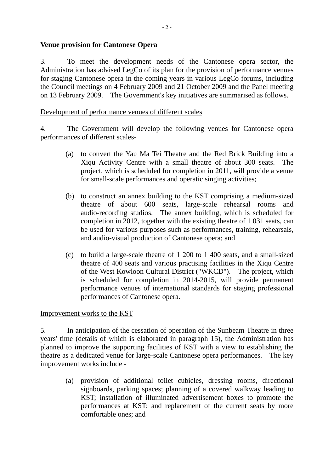#### **Venue provision for Cantonese Opera**

3. To meet the development needs of the Cantonese opera sector, the Administration has advised LegCo of its plan for the provision of performance venues for staging Cantonese opera in the coming years in various LegCo forums, including the Council meetings on 4 February 2009 and 21 October 2009 and the Panel meeting on 13 February 2009. The Government's key initiatives are summarised as follows.

#### Development of performance venues of different scales

4. The Government will develop the following venues for Cantonese opera performances of different scales-

- (a) to convert the Yau Ma Tei Theatre and the Red Brick Building into a Xiqu Activity Centre with a small theatre of about 300 seats. The project, which is scheduled for completion in 2011, will provide a venue for small-scale performances and operatic singing activities;
- (b) to construct an annex building to the KST comprising a medium-sized theatre of about 600 seats, large-scale rehearsal rooms and audio-recording studios. The annex building, which is scheduled for completion in 2012, together with the existing theatre of 1 031 seats, can be used for various purposes such as performances, training, rehearsals, and audio-visual production of Cantonese opera; and
- (c) to build a large-scale theatre of 1 200 to 1 400 seats, and a small-sized theatre of 400 seats and various practising facilities in the Xiqu Centre of the West Kowloon Cultural District ("WKCD"). The project, which is scheduled for completion in 2014-2015, will provide permanent performance venues of international standards for staging professional performances of Cantonese opera.

#### Improvement works to the KST

5. In anticipation of the cessation of operation of the Sunbeam Theatre in three years' time (details of which is elaborated in paragraph 15), the Administration has planned to improve the supporting facilities of KST with a view to establishing the theatre as a dedicated venue for large-scale Cantonese opera performances. The key improvement works include -

(a) provision of additional toilet cubicles, dressing rooms, directional signboards, parking spaces; planning of a covered walkway leading to KST; installation of illuminated advertisement boxes to promote the performances at KST; and replacement of the current seats by more comfortable ones; and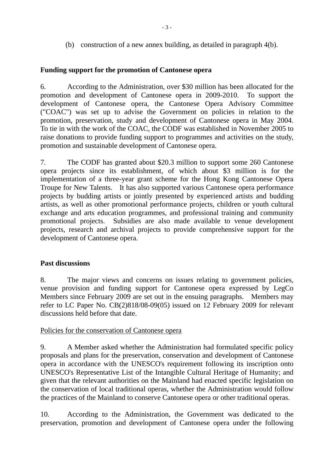(b) construction of a new annex building, as detailed in paragraph 4(b).

#### **Funding support for the promotion of Cantonese opera**

6. According to the Administration, over \$30 million has been allocated for the promotion and development of Cantonese opera in 2009-2010. To support the development of Cantonese opera, the Cantonese Opera Advisory Committee ("COAC") was set up to advise the Government on policies in relation to the promotion, preservation, study and development of Cantonese opera in May 2004. To tie in with the work of the COAC, the CODF was established in November 2005 to raise donations to provide funding support to programmes and activities on the study, promotion and sustainable development of Cantonese opera.

7. The CODF has granted about \$20.3 million to support some 260 Cantonese opera projects since its establishment, of which about \$3 million is for the implementation of a three-year grant scheme for the Hong Kong Cantonese Opera Troupe for New Talents. It has also supported various Cantonese opera performance projects by budding artists or jointly presented by experienced artists and budding artists, as well as other promotional performance projects, children or youth cultural exchange and arts education programmes, and professional training and community promotional projects. Subsidies are also made available to venue development projects, research and archival projects to provide comprehensive support for the development of Cantonese opera.

#### **Past discussions**

8. The major views and concerns on issues relating to government policies, venue provision and funding support for Cantonese opera expressed by LegCo Members since February 2009 are set out in the ensuing paragraphs. Members may refer to LC Paper No. CB(2)818/08-09(05) issued on 12 February 2009 for relevant discussions held before that date.

#### Policies for the conservation of Cantonese opera

9. A Member asked whether the Administration had formulated specific policy proposals and plans for the preservation, conservation and development of Cantonese opera in accordance with the UNESCO's requirement following its inscription onto UNESCO's Representative List of the Intangible Cultural Heritage of Humanity; and given that the relevant authorities on the Mainland had enacted specific legislation on the conservation of local traditional operas, whether the Administration would follow the practices of the Mainland to conserve Cantonese opera or other traditional operas.

10. According to the Administration, the Government was dedicated to the preservation, promotion and development of Cantonese opera under the following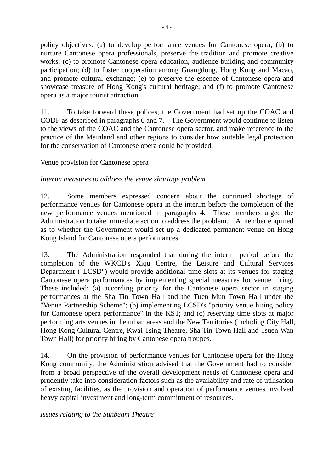policy objectives: (a) to develop performance venues for Cantonese opera; (b) to nurture Cantonese opera professionals, preserve the tradition and promote creative works; (c) to promote Cantonese opera education, audience building and community participation; (d) to foster cooperation among Guangdong, Hong Kong and Macao, and promote cultural exchange; (e) to preserve the essence of Cantonese opera and showcase treasure of Hong Kong's cultural heritage; and (f) to promote Cantonese opera as a major tourist attraction.

11. To take forward these polices, the Government had set up the COAC and CODF as described in paragraphs 6 and 7. The Government would continue to listen to the views of the COAC and the Cantonese opera sector, and make reference to the practice of the Mainland and other regions to consider how suitable legal protection for the conservation of Cantonese opera could be provided.

#### Venue provision for Cantonese opera

#### *Interim measures to address the venue shortage problem*

12. Some members expressed concern about the continued shortage of performance venues for Cantonese opera in the interim before the completion of the new performance venues mentioned in paragraphs 4. These members urged the Administration to take immediate action to address the problem. A member enquired as to whether the Government would set up a dedicated permanent venue on Hong Kong Island for Cantonese opera performances.

13. The Administration responded that during the interim period before the completion of the WKCD's Xiqu Centre, the Leisure and Cultural Services Department ("LCSD") would provide additional time slots at its venues for staging Cantonese opera performances by implementing special measures for venue hiring. These included: (a) according priority for the Cantonese opera sector in staging performances at the Sha Tin Town Hall and the Tuen Mun Town Hall under the "Venue Partnership Scheme"; (b) implementing LCSD's "priority venue hiring policy for Cantonese opera performance" in the KST; and (c) reserving time slots at major performing arts venues in the urban areas and the New Territories (including City Hall, Hong Kong Cultural Centre, Kwai Tsing Theatre, Sha Tin Town Hall and Tsuen Wan Town Hall) for priority hiring by Cantonese opera troupes.

14. On the provision of performance venues for Cantonese opera for the Hong Kong community, the Administration advised that the Government had to consider from a broad perspective of the overall development needs of Cantonese opera and prudently take into consideration factors such as the availability and rate of utilisation of existing facilities, as the provision and operation of performance venues involved heavy capital investment and long-term commitment of resources.

*Issues relating to the Sunbeam Theatre*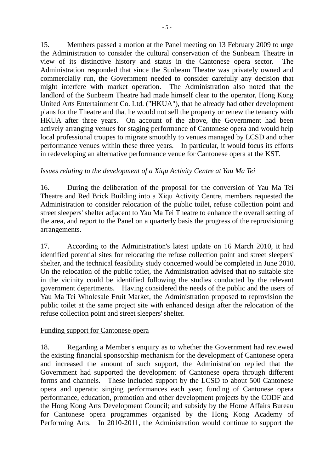15. Members passed a motion at the Panel meeting on 13 February 2009 to urge the Administration to consider the cultural conservation of the Sunbeam Theatre in view of its distinctive history and status in the Cantonese opera sector. Administration responded that since the Sunbeam Theatre was privately owned and commercially run, the Government needed to consider carefully any decision that might interfere with market operation. The Administration also noted that the landlord of the Sunbeam Theatre had made himself clear to the operator, Hong Kong United Arts Entertainment Co. Ltd. ("HKUA"), that he already had other development plans for the Theatre and that he would not sell the property or renew the tenancy with HKUA after three years. On account of the above, the Government had been actively arranging venues for staging performance of Cantonese opera and would help local professional troupes to migrate smoothly to venues managed by LCSD and other performance venues within these three years. In particular, it would focus its efforts in redeveloping an alternative performance venue for Cantonese opera at the KST.

#### *Issues relating to the development of a Xiqu Activity Centre at Yau Ma Tei*

16. During the deliberation of the proposal for the conversion of Yau Ma Tei Theatre and Red Brick Building into a Xiqu Activity Centre, members requested the Administration to consider relocation of the public toilet, refuse collection point and street sleepers' shelter adjacent to Yau Ma Tei Theatre to enhance the overall setting of the area, and report to the Panel on a quarterly basis the progress of the reprovisioning arrangements.

17. According to the Administration's latest update on 16 March 2010, it had identified potential sites for relocating the refuse collection point and street sleepers' shelter, and the technical feasibility study concerned would be completed in June 2010. On the relocation of the public toilet, the Administration advised that no suitable site in the vicinity could be identified following the studies conducted by the relevant government departments. Having considered the needs of the public and the users of Yau Ma Tei Wholesale Fruit Market, the Administration proposed to reprovision the public toilet at the same project site with enhanced design after the relocation of the refuse collection point and street sleepers' shelter.

#### Funding support for Cantonese opera

18. Regarding a Member's enquiry as to whether the Government had reviewed the existing financial sponsorship mechanism for the development of Cantonese opera and increased the amount of such support, the Administration replied that the Government had supported the development of Cantonese opera through different forms and channels. These included support by the LCSD to about 500 Cantonese opera and operatic singing performances each year; funding of Cantonese opera performance, education, promotion and other development projects by the CODF and the Hong Kong Arts Development Council; and subsidy by the Home Affairs Bureau for Cantonese opera programmes organised by the Hong Kong Academy of Performing Arts. In 2010-2011, the Administration would continue to support the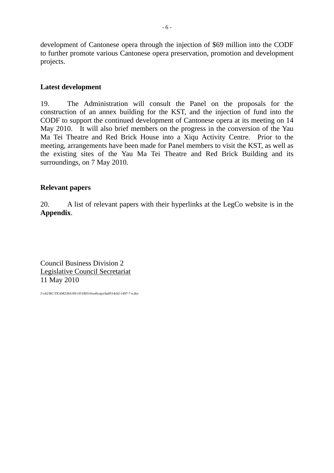development of Cantonese opera through the injection of \$69 million into the CODF to further promote various Cantonese opera preservation, promotion and development projects.

#### **Latest development**

19. The Administration will consult the Panel on the proposals for the construction of an annex building for the KST, and the injection of fund into the CODF to support the continued development of Cantonese opera at its meeting on 14 May 2010. It will also brief members on the progress in the conversion of the Yau Ma Tei Theatre and Red Brick House into a Xiqu Activity Centre. Prior to the meeting, arrangements have been made for Panel members to visit the KST, as well as the existing sites of the Yau Ma Tei Theatre and Red Brick Building and its surroundings, on 7 May 2010.

#### **Relevant papers**

20. A list of relevant papers with their hyperlinks at the LegCo website is in the **Appendix**.

Council Business Division 2 Legislative Council Secretariat 11 May 2010

J:\cb2\BC\TEAM2\HA\09-10\100514\softcopy\ha0514cb2-1497-7-e.doc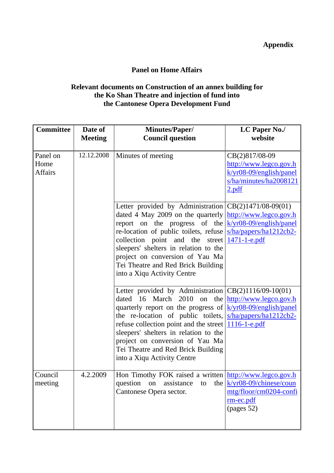### **Appendix**

### **Panel on Home Affairs**

#### **Relevant documents on Construction of an annex building for the Ko Shan Theatre and injection of fund into the Cantonese Opera Development Fund**

| <b>Committee</b>                   | Date of<br><b>Meeting</b> | <b>Minutes/Paper/</b><br><b>Council question</b>                                                                                                                                                                                                                                                                                                                                                                                                                                                                                                      | <b>LC Paper No./</b><br>website                                                                          |
|------------------------------------|---------------------------|-------------------------------------------------------------------------------------------------------------------------------------------------------------------------------------------------------------------------------------------------------------------------------------------------------------------------------------------------------------------------------------------------------------------------------------------------------------------------------------------------------------------------------------------------------|----------------------------------------------------------------------------------------------------------|
|                                    |                           |                                                                                                                                                                                                                                                                                                                                                                                                                                                                                                                                                       |                                                                                                          |
| Panel on<br>Home<br><b>Affairs</b> | 12.12.2008                | Minutes of meeting                                                                                                                                                                                                                                                                                                                                                                                                                                                                                                                                    | CB(2)817/08-09<br>http://www.legco.gov.h<br>$k/yr08-09/english/panel$<br>s/ha/minutes/ha2008121<br>2.pdf |
|                                    |                           | Letter provided by Administration $ CB(2)1471/08-09(01)$<br>dated 4 May 2009 on the quarterly $\frac{http://www.legco.gov.h}{http://www.legco.gov.h}$<br>report on the progress of the $\frac{k(yr08-09/english/panel)}{k(yr08-09/english/panel)}$<br>re-location of public toilets, refuse <u>s/ha/papers/ha1212cb2-</u><br>collection point and the street $\frac{1471 - 1 - e. \text{pdf}}{1600}$<br>sleepers' shelters in relation to the<br>project on conversion of Yau Ma<br>Tei Theatre and Red Brick Building<br>into a Xiqu Activity Centre |                                                                                                          |
|                                    |                           | Letter provided by Administration $ CB(2)1116/09-10(01)$<br>dated 16 March 2010<br>on<br>quarterly report on the progress of $\frac{k}{yr08-09/english/panel}$<br>the re-location of public toilets, <u>s/ha/papers/ha1212cb2-</u><br>refuse collection point and the street   1116-1-e.pdf<br>sleepers' shelters in relation to the<br>project on conversion of Yau Ma<br>Tei Theatre and Red Brick Building<br>into a Xiqu Activity Centre                                                                                                          | the http://www.legco.gov.h                                                                               |
| Council<br>meeting                 | 4.2.2009                  | Hon Timothy FOK raised a written $\frac{\text{http://www.legco.gov.h}}{\text{http://www.legco.gov.h}}$<br>question<br>on<br>assistance<br>to<br>Cantonese Opera sector.                                                                                                                                                                                                                                                                                                                                                                               | the $k/yr08-09/chinese/coun$<br>mtg/floor/cm0204-confi<br>$rm-ec.pdf$<br>(pages 52)                      |